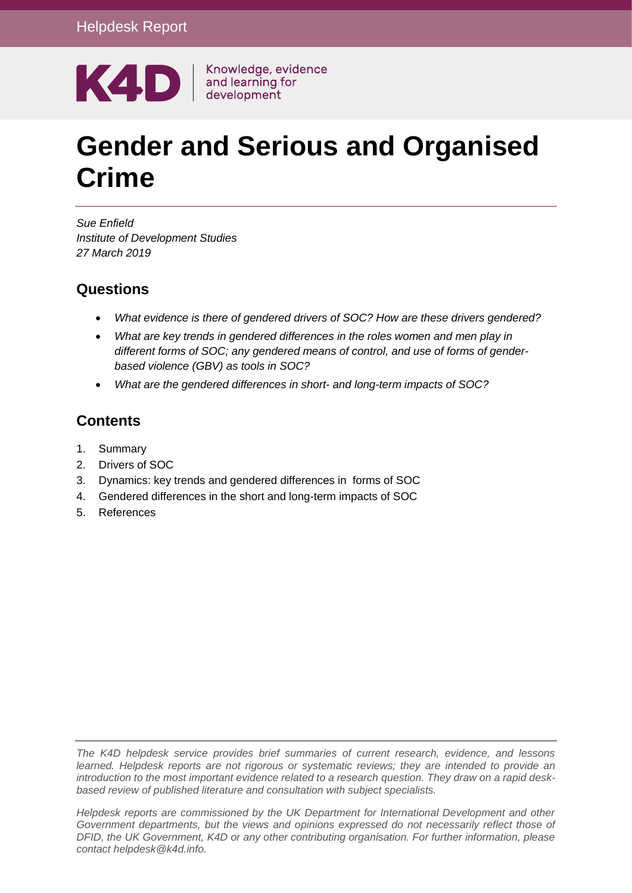

# **Gender and Serious and Organised Crime**

*Sue Enfield Institute of Development Studies 27 March 2019*

## **Questions**

- *What evidence is there of gendered drivers of SOC? How are these drivers gendered?*
- *What are key trends in gendered differences in the roles women and men play in different forms of SOC; any gendered means of control, and use of forms of genderbased violence (GBV) as tools in SOC?*
- *What are the gendered differences in short- and long-term impacts of SOC?*

## **Contents**

- 1. Summary
- 2. Drivers of SOC
- 3. Dynamics: key trends and gendered differences in forms of SOC
- 4. [Gendered differences in the short and long-term impacts of SOC](#page-13-0)
- 5. References

*The K4D helpdesk service provides brief summaries of current research, evidence, and lessons learned. Helpdesk reports are not rigorous or systematic reviews; they are intended to provide an introduction to the most important evidence related to a research question. They draw on a rapid deskbased review of published literature and consultation with subject specialists.* 

*Helpdesk reports are commissioned by the UK Department for International Development and other Government departments, but the views and opinions expressed do not necessarily reflect those of DFID, the UK Government, K4D or any other contributing organisation. For further information, please contact helpdesk@k4d.info.*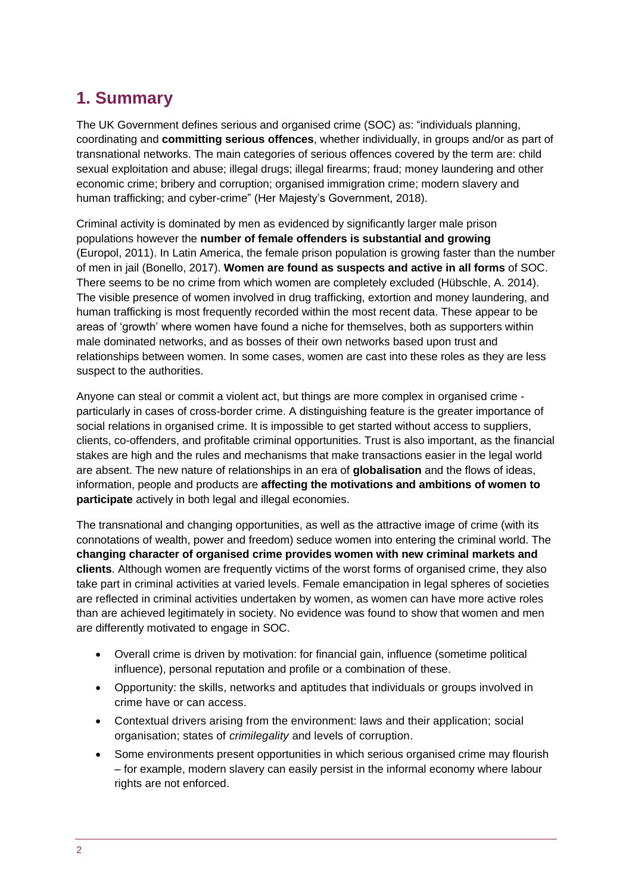# **1. Summary**

The UK Government defines serious and organised crime (SOC) as: "individuals planning, coordinating and **committing serious offences**, whether individually, in groups and/or as part of transnational networks. The main categories of serious offences covered by the term are: child sexual exploitation and abuse; illegal drugs; illegal firearms; fraud; money laundering and other economic crime; bribery and corruption; organised immigration crime; modern slavery and human trafficking; and cyber-crime" (Her Majesty's Government, 2018).

Criminal activity is dominated by men as evidenced by significantly larger male prison populations however the **number of female offenders is substantial and growing** (Europol, [2011\)](https://link-springer-com.ezproxy.sussex.ac.uk/article/10.1007%2Fs12117-014-9223-y#CR17). In Latin America, the female prison population is growing faster than the number of men in jail (Bonello, 2017). **Women are found as suspects and active in all forms** of SOC. There seems to be no crime from which women are completely excluded (Hübschle, A. 2014). The visible presence of women involved in drug trafficking, extortion and money laundering, and human trafficking is most frequently recorded within the most recent data. These appear to be areas of 'growth' where women have found a niche for themselves, both as supporters within male dominated networks, and as bosses of their own networks based upon trust and relationships between women. In some cases, women are cast into these roles as they are less suspect to the authorities.

Anyone can steal or commit a violent act, but things are more complex in organised crime particularly in cases of cross-border crime. A distinguishing feature is the greater importance of social relations in organised crime. It is impossible to get started without access to suppliers, clients, co-offenders, and profitable criminal opportunities. Trust is also important, as the financial stakes are high and the rules and mechanisms that make transactions easier in the legal world are absent. The new nature of relationships in an era of **globalisation** and the flows of ideas, information, people and products are **affecting the motivations and ambitions of women to participate** actively in both legal and illegal economies.

The transnational and changing opportunities, as well as the attractive image of crime (with its connotations of wealth, power and freedom) seduce women into entering the criminal world. The **changing character of organised crime provides women with new criminal markets and clients**. Although women are frequently victims of the worst forms of organised crime, they also take part in criminal activities at varied levels. Female emancipation in legal spheres of societies are reflected in criminal activities undertaken by women, as women can have more active roles than are achieved legitimately in society. No evidence was found to show that women and men are differently motivated to engage in SOC.

- Overall crime is driven by motivation: for financial gain, influence (sometime political influence), personal reputation and profile or a combination of these.
- Opportunity: the skills, networks and aptitudes that individuals or groups involved in crime have or can access.
- Contextual drivers arising from the environment: laws and their application; social organisation; states of *crimilegality* and levels of corruption.
- Some environments present opportunities in which serious organised crime may flourish – for example, modern slavery can easily persist in the informal economy where labour rights are not enforced.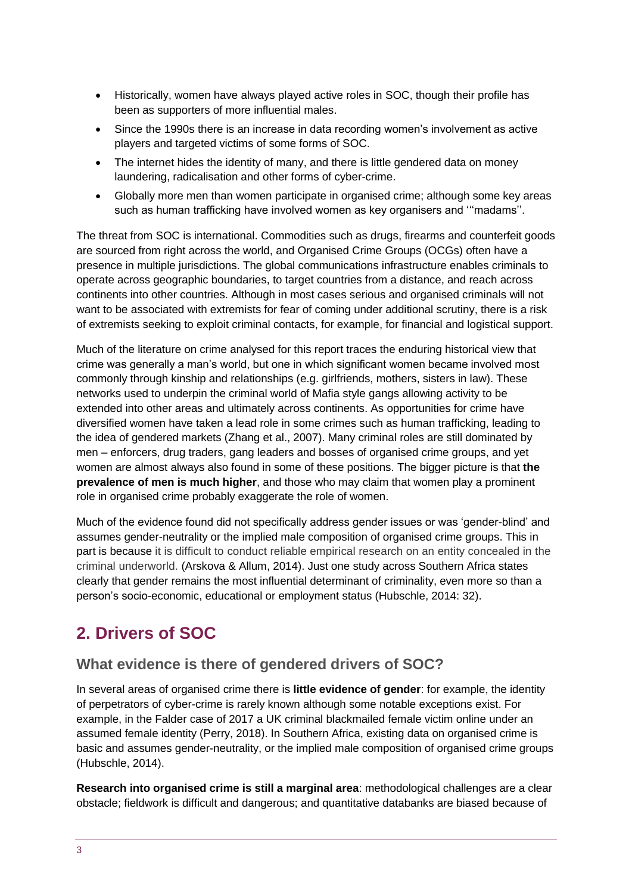- Historically, women have always played active roles in SOC, though their profile has been as supporters of more influential males.
- Since the 1990s there is an increase in data recording women's involvement as active players and targeted victims of some forms of SOC.
- The internet hides the identity of many, and there is little gendered data on money laundering, radicalisation and other forms of cyber-crime.
- Globally more men than women participate in organised crime; although some key areas such as human trafficking have involved women as key organisers and '''madams''.

The threat from SOC is international. Commodities such as drugs, firearms and counterfeit goods are sourced from right across the world, and Organised Crime Groups (OCGs) often have a presence in multiple jurisdictions. The global communications infrastructure enables criminals to operate across geographic boundaries, to target countries from a distance, and reach across continents into other countries. Although in most cases serious and organised criminals will not want to be associated with extremists for fear of coming under additional scrutiny, there is a risk of extremists seeking to exploit criminal contacts, for example, for financial and logistical support.

Much of the literature on crime analysed for this report traces the enduring historical view that crime was generally a man's world, but one in which significant women became involved most commonly through kinship and relationships (e.g. girlfriends, mothers, sisters in law). These networks used to underpin the criminal world of Mafia style gangs allowing activity to be extended into other areas and ultimately across continents. As opportunities for crime have diversified women have taken a lead role in some crimes such as human trafficking, leading to the idea of gendered markets (Zhang et al., 2007). Many criminal roles are still dominated by men – enforcers, drug traders, gang leaders and bosses of organised crime groups, and yet women are almost always also found in some of these positions. The bigger picture is that **the prevalence of men is much higher**, and those who may claim that women play a prominent role in organised crime probably exaggerate the role of women.

Much of the evidence found did not specifically address gender issues or was 'gender-blind' and assumes gender-neutrality or the implied male composition of organised crime groups. This in part is because it is difficult to conduct reliable empirical research on an entity concealed in the criminal underworld. (Arskova & Allum, 2014). Just one study across Southern Africa states clearly that gender remains the most influential determinant of criminality, even more so than a person's socio-economic, educational or employment status (Hubschle, 2014: 32).

# **2. Drivers of SOC**

## **What evidence is there of gendered drivers of SOC?**

In several areas of organised crime there is **little evidence of gender**: for example, the identity of perpetrators of cyber-crime is rarely known although some notable exceptions exist. For example, in the Falder case of 2017 a UK criminal blackmailed female victim online under an assumed female identity (Perry, 2018). In Southern Africa, existing data on organised crime is basic and assumes gender-neutrality, or the implied male composition of organised crime groups (Hubschle, 2014).

**Research into organised crime is still a marginal area**: methodological challenges are a clear obstacle; fieldwork is difficult and dangerous; and quantitative databanks are biased because of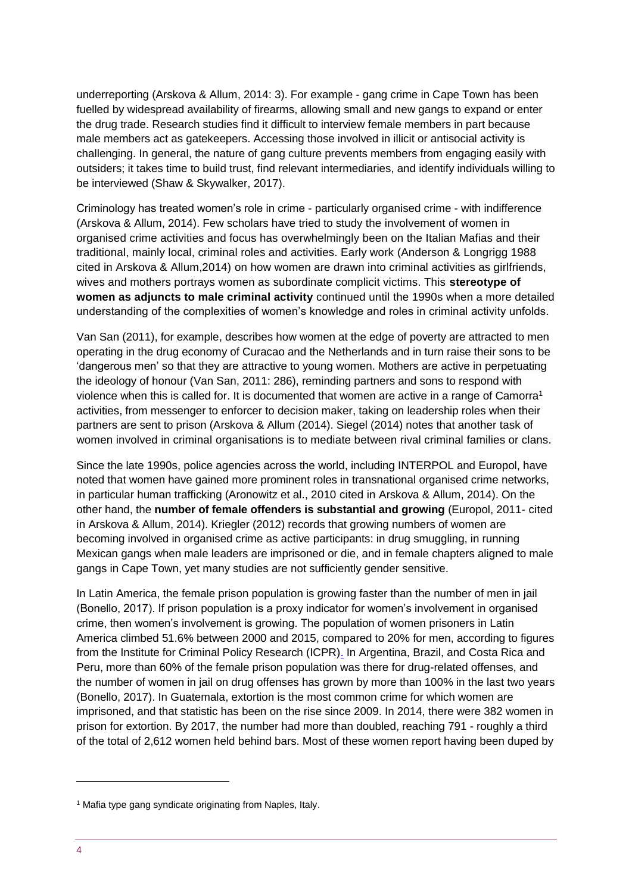underreporting (Arskova & Allum, 2014: 3). For example - gang crime in Cape Town has been fuelled by widespread availability of firearms, allowing small and new gangs to expand or enter the drug trade. Research studies find it difficult to interview female members in part because male members act as gatekeepers. Accessing those involved in illicit or antisocial activity is challenging. In general, the nature of gang culture prevents members from engaging easily with outsiders; it takes time to build trust, find relevant intermediaries, and identify individuals willing to be interviewed (Shaw & Skywalker, 2017).

Criminology has treated women's role in crime - particularly organised crime - with indifference (Arskova & Allum, 2014). Few scholars have tried to study the involvement of women in organised crime activities and focus has overwhelmingly been on the Italian Mafias and their traditional, mainly local, criminal roles and activities. Early work (Anderson & Longrigg 1988 cited in Arskova & Allum,2014) on how women are drawn into criminal activities as girlfriends, wives and mothers portrays women as subordinate complicit victims. This **stereotype of women as adjuncts to male criminal activity** continued until the 1990s when a more detailed understanding of the complexities of women's knowledge and roles in criminal activity unfolds.

Van San (2011), for example, describes how women at the edge of poverty are attracted to men operating in the drug economy of Curacao and the Netherlands and in turn raise their sons to be 'dangerous men' so that they are attractive to young women. Mothers are active in perpetuating the ideology of honour (Van San, 2011: 286), reminding partners and sons to respond with violence when this is called for. It is documented that women are active in a range of Camorra<sup>1</sup> activities, from messenger to enforcer to decision maker, taking on leadership roles when their partners are sent to prison (Arskova & Allum (2014). Siegel (2014) notes that another task of women involved in criminal organisations is to mediate between rival criminal families or clans.

Since the late 1990s, police agencies across the world, including INTERPOL and Europol, have noted that women have gained more prominent roles in transnational organised crime networks, in particular human trafficking (Aronowitz et al., [2010](https://link-springer-com.ezproxy.sussex.ac.uk/article/10.1007%2Fs12117-014-9223-y#CR8) cited in Arskova & Allum, 2014). On the other hand, the **number of female offenders is substantial and growing** (Europol, [2011-](https://link-springer-com.ezproxy.sussex.ac.uk/article/10.1007%2Fs12117-014-9223-y#CR17) cited in Arskova & Allum, 2014). Kriegler (2012) records that growing numbers of women are becoming involved in organised crime as active participants: in drug smuggling, in running Mexican gangs when male leaders are imprisoned or die, and in female chapters aligned to male gangs in Cape Town, yet many studies are not sufficiently gender sensitive.

In Latin America, the female prison population is growing faster than the number of men in jail (Bonello, 2017). If prison population is a proxy indicator for women's involvement in organised crime, then women's involvement is growing. The population of women prisoners in Latin America climbed 51.6% between 2000 and 2015, compared to 20% for men, according to figures from [the Institute for Criminal Policy Research \(ICPR\).](https://www.icpr.org.uk/media/43410/global_imprisonment_web_final.pdf) In Argentina, Brazil, and Costa Rica and Peru, more than 60% of the female prison population was there for drug-related offenses, and the number of women in jail on drug offenses has grown by more than 100% in the last two years (Bonello, 2017). In Guatemala, extortion is the most common crime for which women are imprisoned, and that statistic has been on the rise since 2009. In 2014, there were 382 women in prison for extortion. By 2017, the number had more than doubled, reaching 791 - roughly a third of the total of 2,612 women held behind bars. Most of these women report having been duped by

-

<sup>&</sup>lt;sup>1</sup> Mafia type gang syndicate originating from Naples, Italy.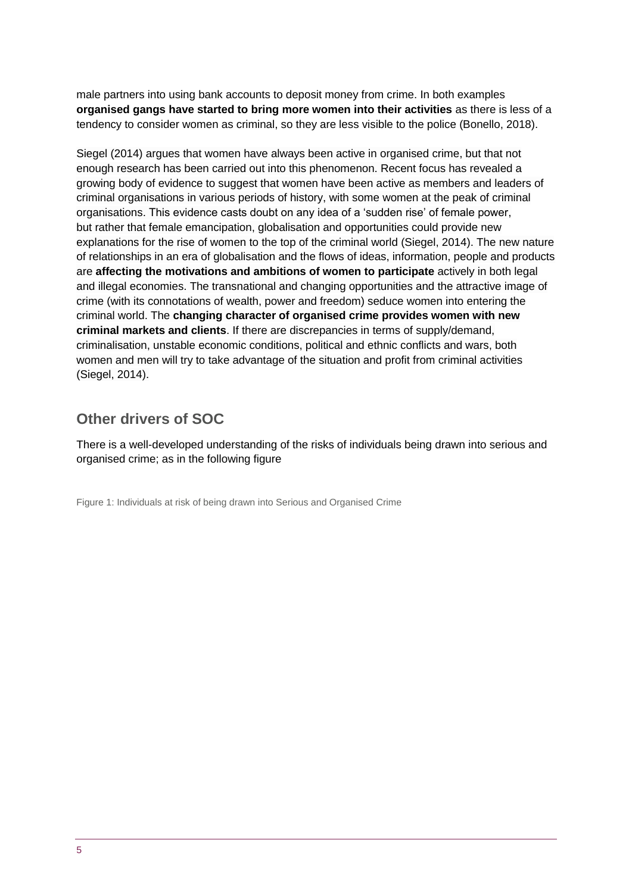male partners into using bank accounts to deposit money from crime. In both examples **organised gangs have started to bring more women into their activities** as there is less of a tendency to consider women as criminal, so they are less visible to the police (Bonello, 2018).

Siegel (2014) argues that women have always been active in organised crime, but that not enough research has been carried out into this phenomenon. Recent focus has revealed a growing body of evidence to suggest that women have been active as members and leaders of criminal organisations in various periods of history, with some women at the peak of criminal organisations. This evidence casts doubt on any idea of a 'sudden rise' of female power, but rather that female emancipation, globalisation and opportunities could provide new explanations for the rise of women to the top of the criminal world (Siegel, 2014). The new nature of relationships in an era of globalisation and the flows of ideas, information, people and products are **affecting the motivations and ambitions of women to participate** actively in both legal and illegal economies. The transnational and changing opportunities and the attractive image of crime (with its connotations of wealth, power and freedom) seduce women into entering the criminal world. The **changing character of organised crime provides women with new criminal markets and clients**. If there are discrepancies in terms of supply/demand, criminalisation, unstable economic conditions, political and ethnic conflicts and wars, both women and men will try to take advantage of the situation and profit from criminal activities (Siegel, 2014).

## **Other drivers of SOC**

There is a well-developed understanding of the risks of individuals being drawn into serious and organised crime; as in the following figure

Figure 1: Individuals at risk of being drawn into Serious and Organised Crime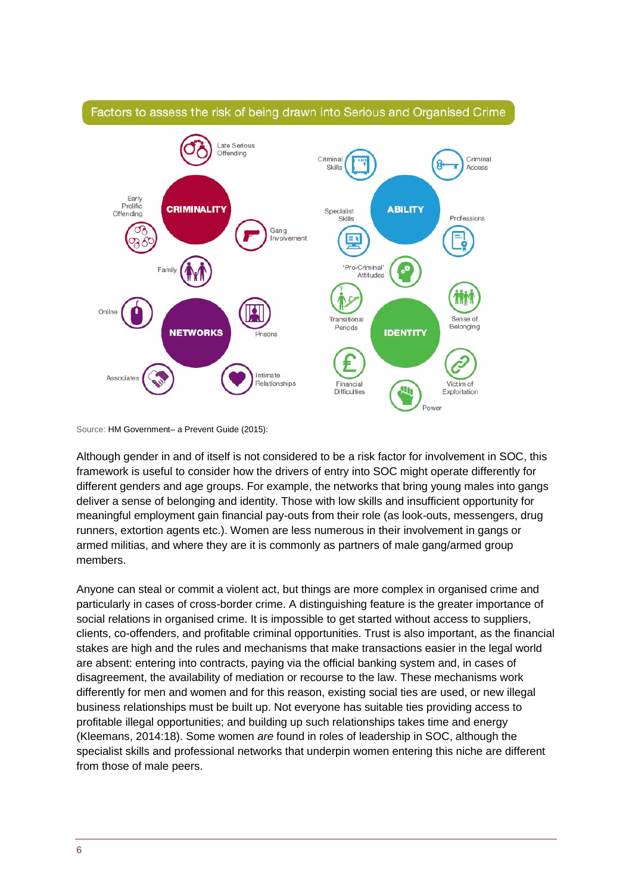

#### Factors to assess the risk of being drawn into Serious and Organised Crime

Source: HM Government– a Prevent Guide (2015):

Although gender in and of itself is not considered to be a risk factor for involvement in SOC, this framework is useful to consider how the drivers of entry into SOC might operate differently for different genders and age groups. For example, the networks that bring young males into gangs deliver a sense of belonging and identity. Those with low skills and insufficient opportunity for meaningful employment gain financial pay-outs from their role (as look-outs, messengers, drug runners, extortion agents etc.). Women are less numerous in their involvement in gangs or armed militias, and where they are it is commonly as partners of male gang/armed group members.

Anyone can steal or commit a violent act, but things are more complex in organised crime and particularly in cases of cross-border crime. A distinguishing feature is the greater importance of social relations in organised crime. It is impossible to get started without access to suppliers, clients, co-offenders, and profitable criminal opportunities. Trust is also important, as the financial stakes are high and the rules and mechanisms that make transactions easier in the legal world are absent: entering into contracts, paying via the official banking system and, in cases of disagreement, the availability of mediation or recourse to the law. These mechanisms work differently for men and women and for this reason, existing social ties are used, or new illegal business relationships must be built up. Not everyone has suitable ties providing access to profitable illegal opportunities; and building up such relationships takes time and energy (Kleemans, 2014:18). Some women *are* found in roles of leadership in SOC, although the specialist skills and professional networks that underpin women entering this niche are different from those of male peers.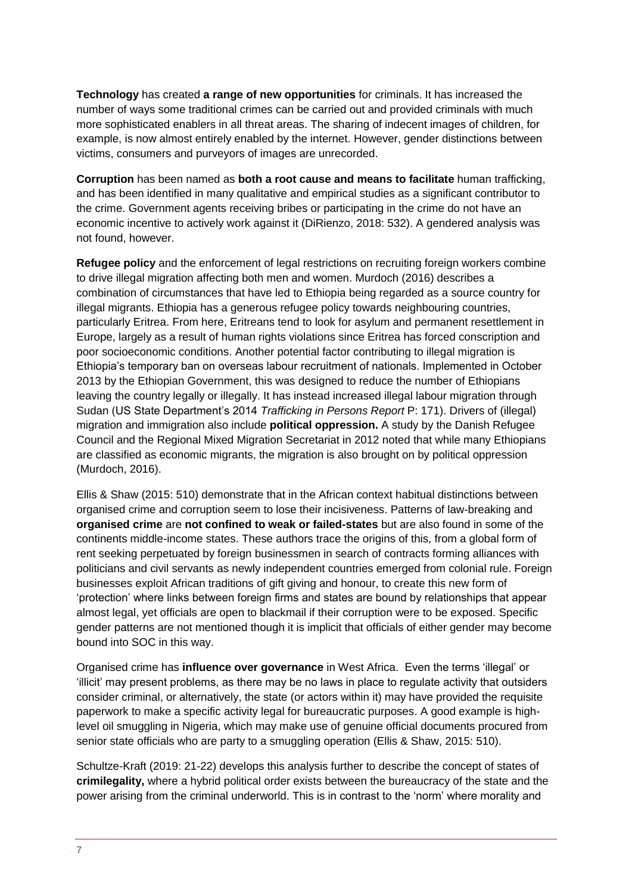**Technology** has created **a range of new opportunities** for criminals. It has increased the number of ways some traditional crimes can be carried out and provided criminals with much more sophisticated enablers in all threat areas. The sharing of indecent images of children, for example, is now almost entirely enabled by the internet. However, gender distinctions between victims, consumers and purveyors of images are unrecorded.

**Corruption** has been named as **both a root cause and means to facilitate** human trafficking, and has been identified in many qualitative and empirical studies as a significant contributor to the crime. Government agents receiving bribes or participating in the crime do not have an economic incentive to actively work against it (DiRienzo, 2018: 532). A gendered analysis was not found, however.

**Refugee policy** and the enforcement of legal restrictions on recruiting foreign workers combine to drive illegal migration affecting both men and women. Murdoch (2016) describes a combination of circumstances that have led to Ethiopia being regarded as a source country for illegal migrants. Ethiopia has a generous refugee policy towards neighbouring countries, particularly Eritrea. From here, Eritreans tend to look for asylum and permanent resettlement in Europe, largely as a result of human rights violations since Eritrea has forced conscription and poor socioeconomic conditions. Another potential factor contributing to illegal migration is Ethiopia's temporary ban on overseas labour recruitment of nationals. Implemented in October 2013 by the Ethiopian Government, this was designed to reduce the number of Ethiopians leaving the country legally or illegally. It has instead increased illegal labour migration through Sudan (US State Department's 2014 *[Trafficking in Persons Report](http://1.usa.gov/1NPC2g4)* P: 171). Drivers of (illegal) migration and immigration also include **political oppression.** A study by the Danish Refugee Council and the Regional Mixed Migration Secretariat in 2012 noted that while many Ethiopians are classified as economic migrants, the migration is also brought on by political oppression (Murdoch, 2016).

Ellis & Shaw (2015: 510) demonstrate that in the African context habitual distinctions between organised crime and corruption seem to lose their incisiveness. Patterns of law-breaking and **organised crime** are **not confined to weak or failed-states** but are also found in some of the continents middle-income states. These authors trace the origins of this, from a global form of rent seeking perpetuated by foreign businessmen in search of contracts forming alliances with politicians and civil servants as newly independent countries emerged from colonial rule. Foreign businesses exploit African traditions of gift giving and honour, to create this new form of 'protection' where links between foreign firms and states are bound by relationships that appear almost legal, yet officials are open to blackmail if their corruption were to be exposed. Specific gender patterns are not mentioned though it is implicit that officials of either gender may become bound into SOC in this way.

Organised crime has **influence over governance** in West Africa. Even the terms 'illegal' or 'illicit' may present problems, as there may be no laws in place to regulate activity that outsiders consider criminal, or alternatively, the state (or actors within it) may have provided the requisite paperwork to make a specific activity legal for bureaucratic purposes. A good example is highlevel oil smuggling in Nigeria, which may make use of genuine official documents procured from senior state officials who are party to a smuggling operation (Ellis & Shaw, 2015: 510).

Schultze-Kraft (2019: 21-22) develops this analysis further to describe the concept of states of **crimilegality,** where a hybrid political order exists between the bureaucracy of the state and the power arising from the criminal underworld. This is in contrast to the 'norm' where morality and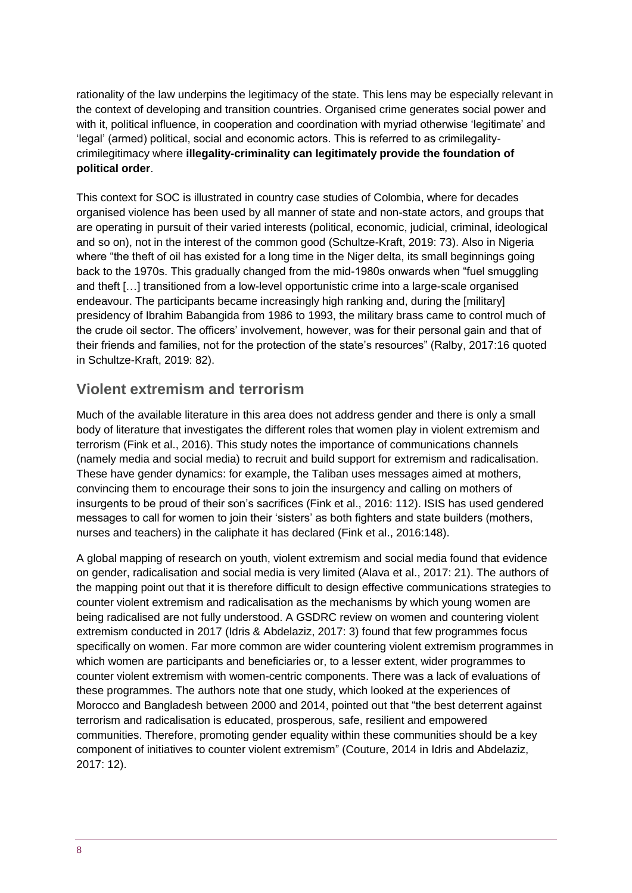rationality of the law underpins the legitimacy of the state. This lens may be especially relevant in the context of developing and transition countries. Organised crime generates social power and with it, political influence, in cooperation and coordination with myriad otherwise 'legitimate' and 'legal' (armed) political, social and economic actors. This is referred to as crimilegalitycrimilegitimacy where **illegality-criminality can legitimately provide the foundation of political order**.

This context for SOC is illustrated in country case studies of Colombia, where for decades organised violence has been used by all manner of state and non-state actors, and groups that are operating in pursuit of their varied interests (political, economic, judicial, criminal, ideological and so on), not in the interest of the common good (Schultze-Kraft, 2019: 73). Also in Nigeria where "the theft of oil has existed for a long time in the Niger delta, its small beginnings going back to the 1970s. This gradually changed from the mid-1980s onwards when "fuel smuggling and theft […] transitioned from a low-level opportunistic crime into a large-scale organised endeavour. The participants became increasingly high ranking and, during the [military] presidency of Ibrahim Babangida from 1986 to 1993, the military brass came to control much of the crude oil sector. The officers' involvement, however, was for their personal gain and that of their friends and families, not for the protection of the state's resources" (Ralby, 2017:16 quoted in Schultze-Kraft, 2019: 82).

#### **Violent extremism and terrorism**

Much of the available literature in this area does not address gender and there is only a small body of literature that investigates the different roles that women play in violent extremism and terrorism (Fink et al., 2016). This study notes the importance of communications channels (namely media and social media) to recruit and build support for extremism and radicalisation. These have gender dynamics: for example, the Taliban uses messages aimed at mothers, convincing them to encourage their sons to join the insurgency and calling on mothers of insurgents to be proud of their son's sacrifices (Fink et al., 2016: 112). ISIS has used gendered messages to call for women to join their 'sisters' as both fighters and state builders (mothers, nurses and teachers) in the caliphate it has declared (Fink et al., 2016:148).

A global mapping of research on youth, violent extremism and social media found that evidence on gender, radicalisation and social media is very limited (Alava et al., 2017: 21). The authors of the mapping point out that it is therefore difficult to design effective communications strategies to counter violent extremism and radicalisation as the mechanisms by which young women are being radicalised are not fully understood. A GSDRC review on women and countering violent extremism conducted in 2017 (Idris & Abdelaziz, 2017: 3) found that few programmes focus specifically on women. Far more common are wider countering violent extremism programmes in which women are participants and beneficiaries or, to a lesser extent, wider programmes to counter violent extremism with women-centric components. There was a lack of evaluations of these programmes. The authors note that one study, which looked at the experiences of Morocco and Bangladesh between 2000 and 2014, pointed out that "the best deterrent against terrorism and radicalisation is educated, prosperous, safe, resilient and empowered communities. Therefore, promoting gender equality within these communities should be a key component of initiatives to counter violent extremism" (Couture, 2014 in Idris and Abdelaziz, 2017: 12).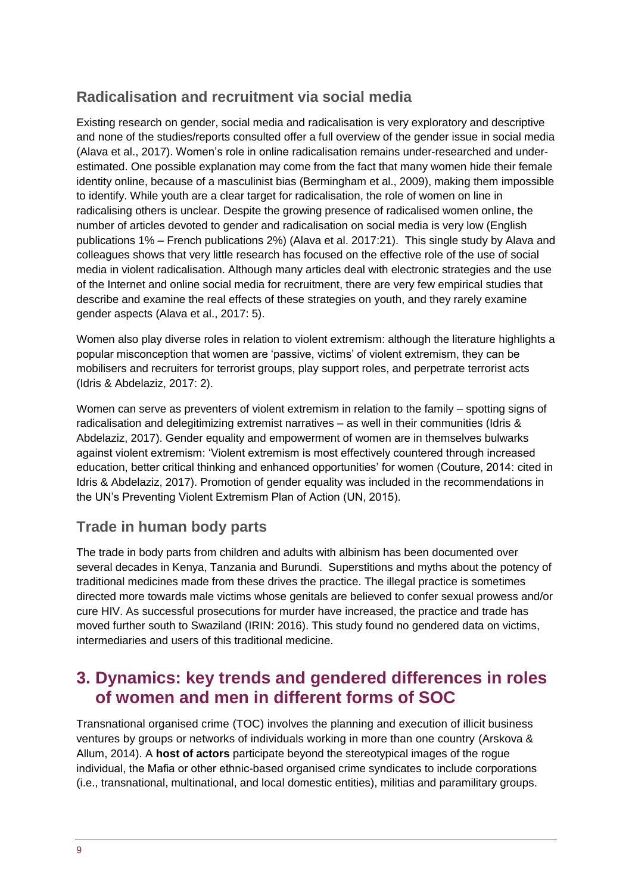## **Radicalisation and recruitment via social media**

Existing research on gender, social media and radicalisation is very exploratory and descriptive and none of the studies/reports consulted offer a full overview of the gender issue in social media (Alava et al., 2017). Women's role in online radicalisation remains under-researched and underestimated. One possible explanation may come from the fact that many women hide their female identity online, because of a masculinist bias (Bermingham et al., 2009), making them impossible to identify. While youth are a clear target for radicalisation, the role of women on line in radicalising others is unclear. Despite the growing presence of radicalised women online, the number of articles devoted to gender and radicalisation on social media is very low (English publications 1% – French publications 2%) (Alava et al. 2017:21). This single study by Alava and colleagues shows that very little research has focused on the effective role of the use of social media in violent radicalisation. Although many articles deal with electronic strategies and the use of the Internet and online social media for recruitment, there are very few empirical studies that describe and examine the real effects of these strategies on youth, and they rarely examine gender aspects (Alava et al., 2017: 5).

Women also play diverse roles in relation to violent extremism: although the literature highlights a popular misconception that women are 'passive, victims' of violent extremism, they can be mobilisers and recruiters for terrorist groups, play support roles, and perpetrate terrorist acts (Idris & Abdelaziz, 2017: 2).

Women can serve as preventers of violent extremism in relation to the family – spotting signs of radicalisation and delegitimizing extremist narratives – as well in their communities (Idris & Abdelaziz, 2017). Gender equality and empowerment of women are in themselves bulwarks against violent extremism: 'Violent extremism is most effectively countered through increased education, better critical thinking and enhanced opportunities' for women (Couture, 2014: cited in Idris & Abdelaziz, 2017). Promotion of gender equality was included in the recommendations in the UN's Preventing Violent Extremism Plan of Action (UN, 2015).

## **Trade in human body parts**

The trade in body parts from children and adults with albinism has been documented over several decades in Kenya, Tanzania and Burundi. Superstitions and myths about the potency of traditional medicines made from these drives the practice. The illegal practice is sometimes directed more towards male victims whose genitals are believed to confer sexual prowess and/or cure HIV. As successful prosecutions for murder have increased, the practice and trade has moved further south to Swaziland (IRIN: 2016). This study found no gendered data on victims, intermediaries and users of this traditional medicine.

## **3. Dynamics: key trends and gendered differences in roles of women and men in different forms of SOC**

Transnational organised crime (TOC) involves the planning and execution of illicit business ventures by groups or networks of individuals working in more than one country (Arskova & Allum, 2014). A **host of actors** participate beyond the stereotypical images of the rogue individual, the Mafia or other ethnic-based organised crime syndicates to include corporations (i.e., transnational, multinational, and local domestic entities), militias and paramilitary groups.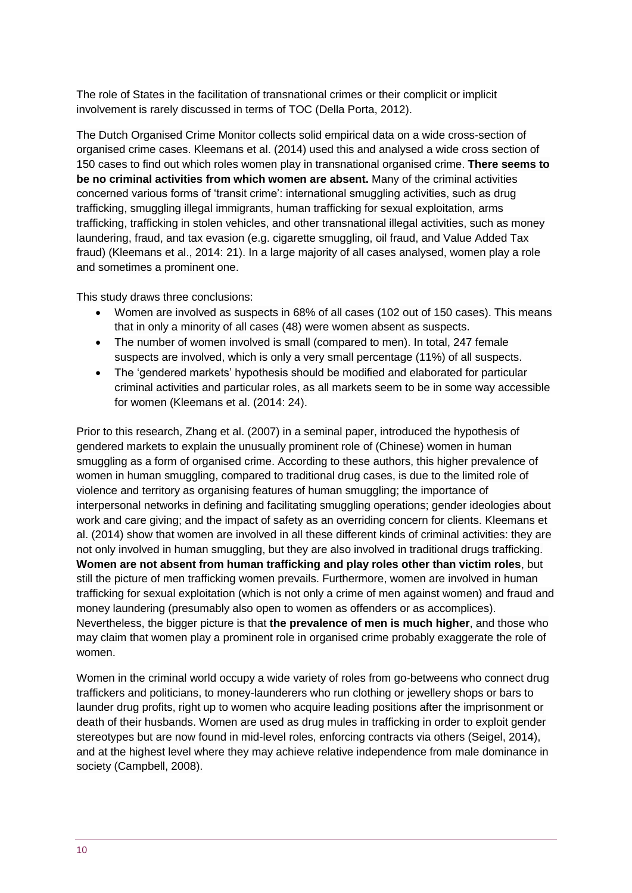The role of States in the facilitation of transnational crimes or their complicit or implicit involvement is rarely discussed in terms of TOC (Della Porta, 2012).

The Dutch Organised Crime Monitor collects solid empirical data on a wide cross-section of organised crime cases. Kleemans et al. (2014) used this and analysed a wide cross section of 150 cases to find out which roles women play in transnational organised crime. **There seems to be no criminal activities from which women are absent.** Many of the criminal activities concerned various forms of 'transit crime': international smuggling activities, such as drug trafficking, smuggling illegal immigrants, human trafficking for sexual exploitation, arms trafficking, trafficking in stolen vehicles, and other transnational illegal activities, such as money laundering, fraud, and tax evasion (e.g. cigarette smuggling, oil fraud, and Value Added Tax fraud) (Kleemans et al., 2014: 21). In a large majority of all cases analysed, women play a role and sometimes a prominent one.

This study draws three conclusions:

- Women are involved as suspects in 68% of all cases (102 out of 150 cases). This means that in only a minority of all cases (48) were women absent as suspects.
- The number of women involved is small (compared to men). In total, 247 female suspects are involved, which is only a very small percentage (11%) of all suspects.
- The 'gendered markets' hypothesis should be modified and elaborated for particular criminal activities and particular roles, as all markets seem to be in some way accessible for women (Kleemans et al. (2014: 24).

Prior to this research, Zhang et al. (2007) in a seminal paper, introduced the hypothesis of gendered markets to explain the unusually prominent role of (Chinese) women in human smuggling as a form of organised crime. According to these authors, this higher prevalence of women in human smuggling, compared to traditional drug cases, is due to the limited role of violence and territory as organising features of human smuggling; the importance of interpersonal networks in defining and facilitating smuggling operations; gender ideologies about work and care giving; and the impact of safety as an overriding concern for clients. Kleemans et al. (2014) show that women are involved in all these different kinds of criminal activities: they are not only involved in human smuggling, but they are also involved in traditional drugs trafficking. **Women are not absent from human trafficking and play roles other than victim roles**, but still the picture of men trafficking women prevails. Furthermore, women are involved in human trafficking for sexual exploitation (which is not only a crime of men against women) and fraud and money laundering (presumably also open to women as offenders or as accomplices). Nevertheless, the bigger picture is that **the prevalence of men is much higher**, and those who may claim that women play a prominent role in organised crime probably exaggerate the role of women.

Women in the criminal world occupy a wide variety of roles from go-betweens who connect drug traffickers and politicians, to money-launderers who run clothing or jewellery shops or bars to launder drug profits, right up to women who acquire leading positions after the imprisonment or death of their husbands. Women are used as drug mules in trafficking in order to exploit gender stereotypes but are now found in mid-level roles, enforcing contracts via others (Seigel, 2014), and at the highest level where they may achieve relative independence from male dominance in society (Campbell, 2008).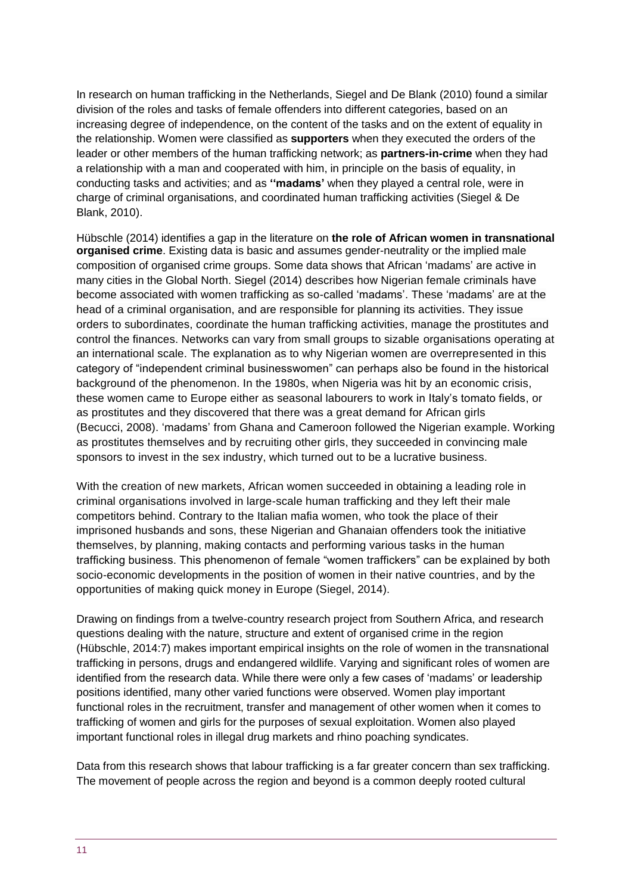In research on human trafficking in the Netherlands, Siegel and De Blank [\(2010\)](https://link.springer.com/article/10.1007/s12117-013-9206-4#CR65) found a similar division of the roles and tasks of female offenders into different categories, based on an increasing degree of independence, on the content of the tasks and on the extent of equality in the relationship. Women were classified as **supporters** when they executed the orders of the leader or other members of the human trafficking network; as **partners-in-crime** when they had a relationship with a man and cooperated with him, in principle on the basis of equality, in conducting tasks and activities; and as **''madams'** when they played a central role, were in charge of criminal organisations, and coordinated human trafficking activities (Siegel & De Blank, [2010\)](https://link.springer.com/article/10.1007/s12117-013-9206-4#CR65).

Hübschle (2014) identifies a gap in the literature on **the role of African women in transnational organised crime**. Existing data is basic and assumes gender-neutrality or the implied male composition of organised crime groups. Some data shows that African 'madams' are active in many cities in the Global North. Siegel (2014) describes how Nigerian female criminals have become associated with women trafficking as so-called 'madams'. These 'madams' are at the head of a criminal organisation, and are responsible for planning its activities. They issue orders to subordinates, coordinate the human trafficking activities, manage the prostitutes and control the finances. Networks can vary from small groups to sizable organisations operating at an international scale. The explanation as to why Nigerian women are overrepresented in this category of "independent criminal businesswomen" can perhaps also be found in the historical background of the phenomenon. In the 1980s, when Nigeria was hit by an economic crisis, these women came to Europe either as seasonal labourers to work in Italy's tomato fields, or as prostitutes and they discovered that there was a great demand for African girls (Becucci, [2008\)](https://link.springer.com/article/10.1007/s12117-013-9206-4#CR8). 'madams' from Ghana and Cameroon followed the Nigerian example. Working as prostitutes themselves and by recruiting other girls, they succeeded in convincing male sponsors to invest in the sex industry, which turned out to be a lucrative business.

With the creation of new markets, African women succeeded in obtaining a leading role in criminal organisations involved in large-scale human trafficking and they left their male competitors behind. Contrary to the Italian mafia women, who took the place of their imprisoned husbands and sons, these Nigerian and Ghanaian offenders took the initiative themselves, by planning, making contacts and performing various tasks in the human trafficking business. This phenomenon of female "women traffickers" can be explained by both socio-economic developments in the position of women in their native countries, and by the opportunities of making quick money in Europe (Siegel, 2014).

Drawing on findings from a twelve-country research project from Southern Africa, and research questions dealing with the nature, structure and extent of organised crime in the region (Hübschle, 2014:7) makes important empirical insights on the role of women in the transnational trafficking in persons, drugs and endangered wildlife. Varying and significant roles of women are identified from the research data. While there were only a few cases of 'madams' or leadership positions identified, many other varied functions were observed. Women play important functional roles in the recruitment, transfer and management of other women when it comes to trafficking of women and girls for the purposes of sexual exploitation. Women also played important functional roles in illegal drug markets and rhino poaching syndicates.

Data from this research shows that labour trafficking is a far greater concern than sex trafficking. The movement of people across the region and beyond is a common deeply rooted cultural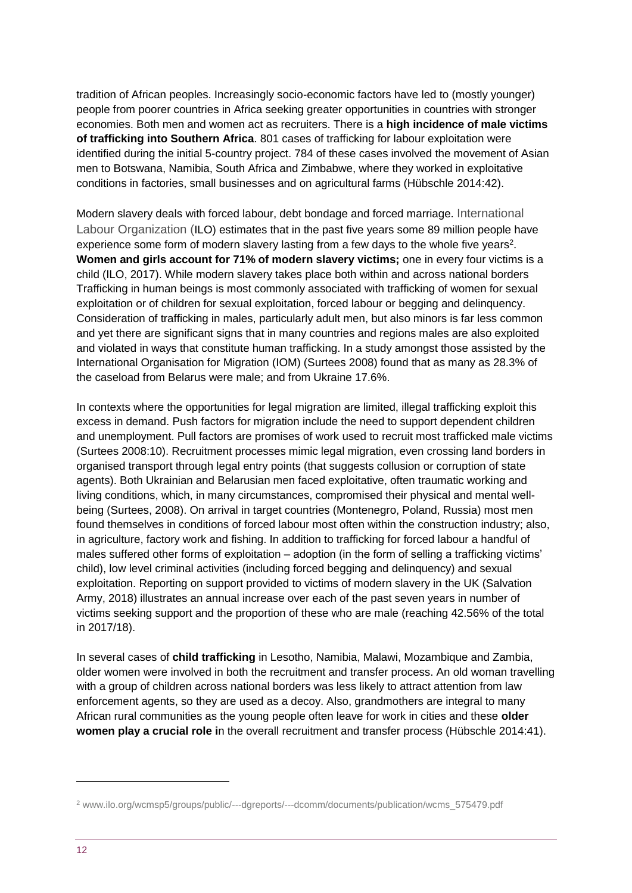tradition of African peoples. Increasingly socio-economic factors have led to (mostly younger) people from poorer countries in Africa seeking greater opportunities in countries with stronger economies. Both men and women act as recruiters. There is a **high incidence of male victims of trafficking into Southern Africa**. 801 cases of trafficking for labour exploitation were identified during the initial 5-country project. 784 of these cases involved the movement of Asian men to Botswana, Namibia, South Africa and Zimbabwe, where they worked in exploitative conditions in factories, small businesses and on agricultural farms (Hübschle 2014:42).

Modern slavery deals with forced labour, debt bondage and forced marriage. International Labour Organization (ILO) estimates that in the past five years some 89 million people have experience some form of modern slavery lasting from a few days to the whole five years<sup>2</sup>. **Women and girls account for 71% of modern slavery victims;** one in every four victims is a child (ILO, 2017). While modern slavery takes place both within and across national borders Trafficking in human beings is most commonly associated with trafficking of women for sexual exploitation or of children for sexual exploitation, forced labour or begging and delinquency. Consideration of trafficking in males, particularly adult men, but also minors is far less common and yet there are significant signs that in many countries and regions males are also exploited and violated in ways that constitute human trafficking. In a study amongst those assisted by the International Organisation for Migration (IOM) (Surtees 2008) found that as many as 28.3% of the caseload from Belarus were male; and from Ukraine 17.6%.

In contexts where the opportunities for legal migration are limited, illegal trafficking exploit this excess in demand. Push factors for migration include the need to support dependent children and unemployment. Pull factors are promises of work used to recruit most trafficked male victims (Surtees 2008:10). Recruitment processes mimic legal migration, even crossing land borders in organised transport through legal entry points (that suggests collusion or corruption of state agents). Both Ukrainian and Belarusian men faced exploitative, often traumatic working and living conditions, which, in many circumstances, compromised their physical and mental wellbeing (Surtees, 2008). On arrival in target countries (Montenegro, Poland, Russia) most men found themselves in conditions of forced labour most often within the construction industry; also, in agriculture, factory work and fishing. In addition to trafficking for forced labour a handful of males suffered other forms of exploitation – adoption (in the form of selling a trafficking victims' child), low level criminal activities (including forced begging and delinquency) and sexual exploitation. Reporting on support provided to victims of modern slavery in the UK (Salvation Army, 2018) illustrates an annual increase over each of the past seven years in number of victims seeking support and the proportion of these who are male (reaching 42.56% of the total in 2017/18).

In several cases of **child trafficking** in Lesotho, Namibia, Malawi, Mozambique and Zambia, older women were involved in both the recruitment and transfer process. An old woman travelling with a group of children across national borders was less likely to attract attention from law enforcement agents, so they are used as a decoy. Also, grandmothers are integral to many African rural communities as the young people often leave for work in cities and these **older women play a crucial role i**n the overall recruitment and transfer process (Hübschle 2014:41).

-

<sup>2</sup> www.ilo.org/wcmsp5/groups/public/---dgreports/---dcomm/documents/publication/wcms\_575479.pdf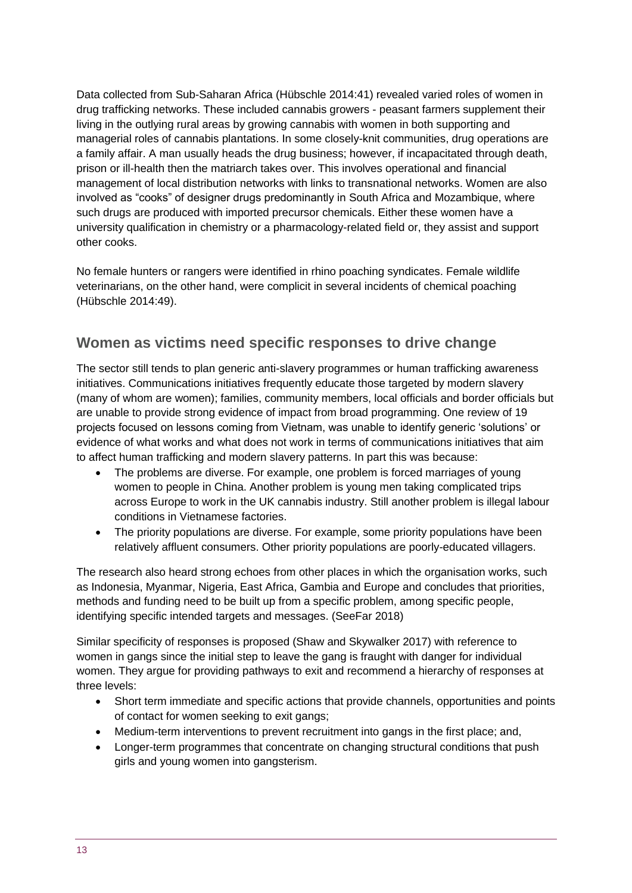Data collected from Sub-Saharan Africa (Hübschle 2014:41) revealed varied roles of women in drug trafficking networks. These included cannabis growers - peasant farmers supplement their living in the outlying rural areas by growing cannabis with women in both supporting and managerial roles of cannabis plantations. In some closely-knit communities, drug operations are a family affair. A man usually heads the drug business; however, if incapacitated through death, prison or ill-health then the matriarch takes over. This involves operational and financial management of local distribution networks with links to transnational networks. Women are also involved as "cooks" of designer drugs predominantly in South Africa and Mozambique, where such drugs are produced with imported precursor chemicals. Either these women have a university qualification in chemistry or a pharmacology-related field or, they assist and support other cooks.

No female hunters or rangers were identified in rhino poaching syndicates. Female wildlife veterinarians, on the other hand, were complicit in several incidents of chemical poaching (Hübschle 2014:49).

## **Women as victims need specific responses to drive change**

The sector still tends to plan generic anti-slavery programmes or human trafficking awareness initiatives. Communications initiatives frequently educate those targeted by modern slavery (many of whom are women); families, community members, local officials and border officials but are unable to provide strong evidence of impact from broad programming. One review of 19 projects focused on lessons coming from Vietnam, was unable to identify generic 'solutions' or evidence of what works and what does not work in terms of communications initiatives that aim to affect human trafficking and modern slavery patterns. In part this was because:

- The problems are diverse. For example, one problem is forced marriages of young women to people in China. Another problem is young men taking complicated trips across Europe to work in the UK cannabis industry. Still another problem is illegal labour conditions in Vietnamese factories.
- The priority populations are diverse. For example, some priority populations have been relatively affluent consumers. Other priority populations are poorly-educated villagers.

The research also heard strong echoes from other places in which the organisation works, such as Indonesia, Myanmar, Nigeria, East Africa, Gambia and Europe and concludes that priorities, methods and funding need to be built up from a specific problem, among specific people, identifying specific intended targets and messages. (SeeFar 2018)

Similar specificity of responses is proposed (Shaw and Skywalker 2017) with reference to women in gangs since the initial step to leave the gang is fraught with danger for individual women. They argue for providing pathways to exit and recommend a hierarchy of responses at three levels:

- Short term immediate and specific actions that provide channels, opportunities and points of contact for women seeking to exit gangs;
- Medium-term interventions to prevent recruitment into gangs in the first place; and,
- Longer-term programmes that concentrate on changing structural conditions that push girls and young women into gangsterism.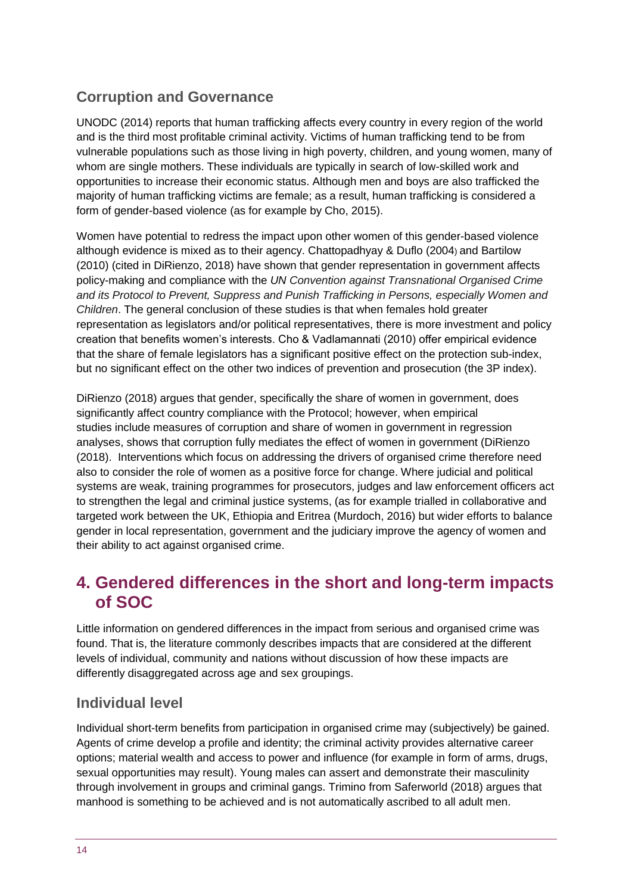## **Corruption and Governance**

UNODC (2014) reports that human trafficking affects every country in every region of the world and is the third most profitable criminal activity. Victims of human trafficking tend to be from vulnerable populations such as those living in high poverty, children, and young women, many of whom are single mothers. These individuals are typically in search of low-skilled work and opportunities to increase their economic status. Although men and boys are also trafficked the majority of human trafficking victims are female; as a result, human trafficking is considered a form of gender-based violence (as for example by Cho, 2015).

Women have potential to redress the impact upon other women of this gender-based violence although evidence is mixed as to their agency. Chattopadhyay & Duflo (2004) and Bartilow (2010) (cited in DiRienzo, 2018) have shown that gender representation in government affects policy-making and compliance with the *UN Convention against Transnational Organised Crime and its Protocol to Prevent, Suppress and Punish Trafficking in Persons, especially Women and Children*. The general conclusion of these studies is that when females hold greater representation as legislators and/or political representatives, there is more investment and policy creation that benefits women's interests. Cho & Vadlamannati (2010) offer empirical evidence that the share of female legislators has a significant positive effect on the protection sub-index, but no significant effect on the other two indices of prevention and prosecution (the 3P index).

DiRienzo (2018) argues that gender, specifically the share of women in government, does significantly affect country compliance with the Protocol; however, when empirical studies include measures of corruption and share of women in government in regression analyses, shows that corruption fully mediates the effect of women in government (DiRienzo (2018). Interventions which focus on addressing the drivers of organised crime therefore need also to consider the role of women as a positive force for change. Where judicial and political systems are weak, training programmes for prosecutors, judges and law enforcement officers act to strengthen the legal and criminal justice systems, (as for example trialled in collaborative and targeted work between the UK, Ethiopia and Eritrea (Murdoch, 2016) but wider efforts to balance gender in local representation, government and the judiciary improve the agency of women and their ability to act against organised crime.

# <span id="page-13-0"></span>**4. Gendered differences in the short and long-term impacts of SOC**

Little information on gendered differences in the impact from serious and organised crime was found. That is, the literature commonly describes impacts that are considered at the different levels of individual, community and nations without discussion of how these impacts are differently disaggregated across age and sex groupings.

## **Individual level**

Individual short-term benefits from participation in organised crime may (subjectively) be gained. Agents of crime develop a profile and identity; the criminal activity provides alternative career options; material wealth and access to power and influence (for example in form of arms, drugs, sexual opportunities may result). Young males can assert and demonstrate their masculinity through involvement in groups and criminal gangs. Trimino from Saferworld (2018) argues that manhood is something to be achieved and is not automatically ascribed to all adult men.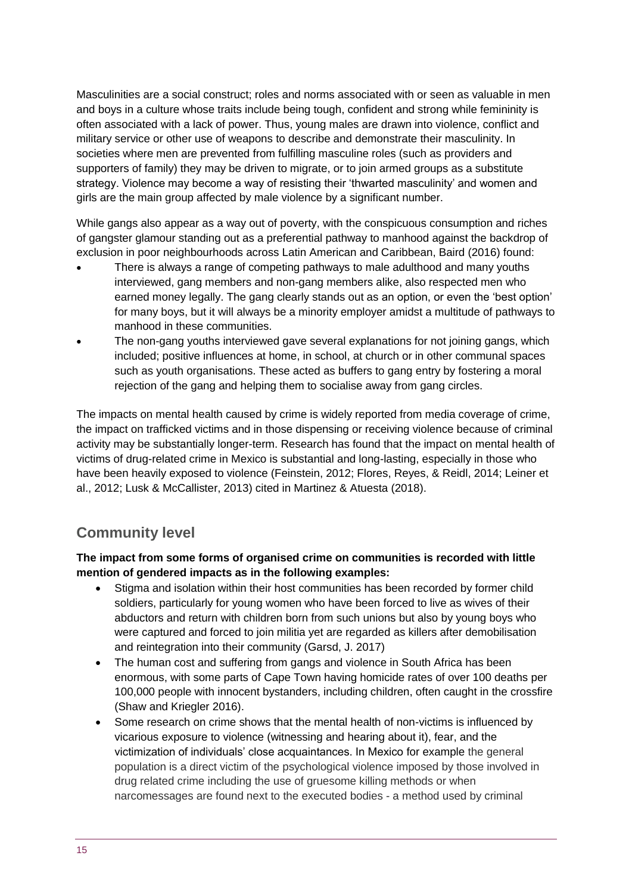Masculinities are a social construct; roles and norms associated with or seen as valuable in men and boys in a culture whose traits include being tough, confident and strong while femininity is often associated with a lack of power. Thus, young males are drawn into violence, conflict and military service or other use of weapons to describe and demonstrate their masculinity. In societies where men are prevented from fulfilling masculine roles (such as providers and supporters of family) they may be driven to migrate, or to join armed groups as a substitute strategy. Violence may become a way of resisting their 'thwarted masculinity' and women and girls are the main group affected by male violence by a significant number.

While gangs also appear as a way out of poverty, with the conspicuous consumption and riches of gangster glamour standing out as a preferential pathway to manhood against the backdrop of exclusion in poor neighbourhoods across Latin American and Caribbean, Baird (2016) found:

- There is always a range of competing pathways to male adulthood and many youths interviewed, gang members and non-gang members alike, also respected men who earned money legally. The gang clearly stands out as an option, or even the 'best option' for many boys, but it will always be a minority employer amidst a multitude of pathways to manhood in these communities.
- The non-gang youths interviewed gave several explanations for not joining gangs, which included; positive influences at home, in school, at church or in other communal spaces such as youth organisations. These acted as buffers to gang entry by fostering a moral rejection of the gang and helping them to socialise away from gang circles.

The impacts on mental health caused by crime is widely reported from media coverage of crime, the impact on trafficked victims and in those dispensing or receiving violence because of criminal activity may be substantially longer-term. Research has found that the impact on mental health of victims of drug-related crime in Mexico is substantial and long-lasting, especially in those who have been heavily exposed to violence (Feinstein, 2012; Flores, Reyes, & Reidl, 2014; Leiner et al., 2012; Lusk & McCallister, 2013) cited in Martinez & Atuesta (2018).

## **Community level**

#### **The impact from some forms of organised crime on communities is recorded with little mention of gendered impacts as in the following examples:**

- Stigma and isolation within their host communities has been recorded by former child soldiers, particularly for young women who have been forced to live as wives of their abductors and return with children born from such unions but also by young boys who were captured and forced to join militia yet are regarded as killers after demobilisation and reintegration into their community (Garsd, J. 2017)
- The human cost and suffering from gangs and violence in South Africa has been enormous, with some parts of Cape Town having homicide rates of over 100 deaths per 100,000 people with innocent bystanders, including children, often caught in the crossfire (Shaw and Kriegler 2016).
- Some research on crime shows that the mental health of non-victims is influenced by vicarious exposure to violence (witnessing and hearing about it), fear, and the victimization of individuals' close acquaintances. In Mexico for example the general population is a direct victim of the psychological violence imposed by those involved in drug related crime including the use of gruesome killing methods or when narcomessages are found next to the executed bodies - a method used by criminal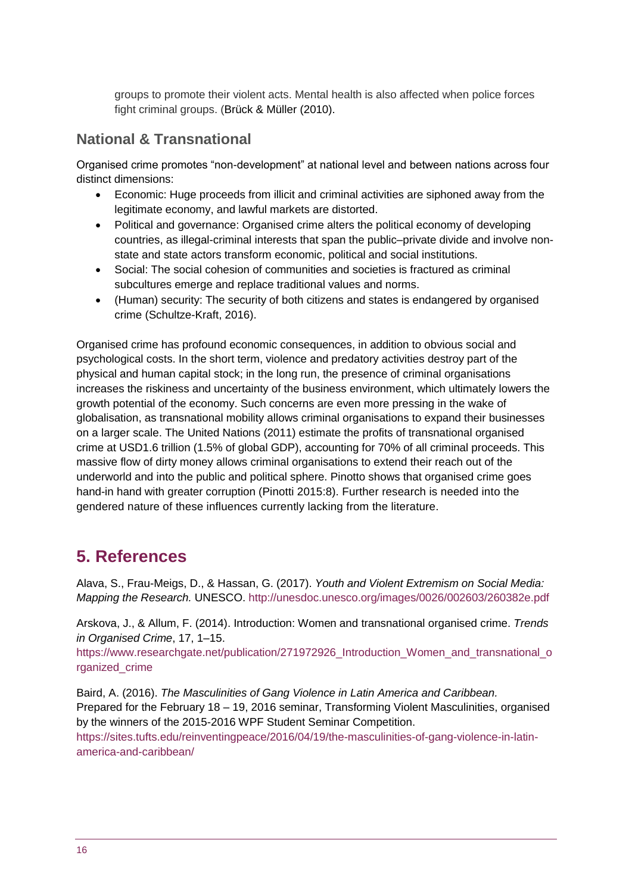groups to promote their violent acts. Mental health is also affected when police forces fight criminal groups. (Brück & Müller (2010).

#### **National & Transnational**

Organised crime promotes "non-development" at national level and between nations across four distinct dimensions:

- Economic: Huge proceeds from illicit and criminal activities are siphoned away from the legitimate economy, and lawful markets are distorted.
- Political and governance: Organised crime alters the political economy of developing countries, as illegal-criminal interests that span the public–private divide and involve nonstate and state actors transform economic, political and social institutions.
- Social: The social cohesion of communities and societies is fractured as criminal subcultures emerge and replace traditional values and norms.
- (Human) security: The security of both citizens and states is endangered by organised crime (Schultze-Kraft, 2016).

Organised crime has profound economic consequences, in addition to obvious social and psychological costs. In the short term, violence and predatory activities destroy part of the physical and human capital stock; in the long run, the presence of criminal organisations increases the riskiness and uncertainty of the business environment, which ultimately lowers the growth potential of the economy. Such concerns are even more pressing in the wake of globalisation, as transnational mobility allows criminal organisations to expand their businesses on a larger scale. The United Nations (2011) estimate the profits of transnational organised crime at USD1.6 trillion (1.5% of global GDP), accounting for 70% of all criminal proceeds. This massive flow of dirty money allows criminal organisations to extend their reach out of the underworld and into the public and political sphere. Pinotto shows that organised crime goes hand-in hand with greater corruption (Pinotti 2015:8). Further research is needed into the gendered nature of these influences currently lacking from the literature.

## **5. References**

Alava, S., Frau-Meigs, D., & Hassan, G. (2017). *Youth and Violent Extremism on Social Media: Mapping the Research.* UNESCO.<http://unesdoc.unesco.org/images/0026/002603/260382e.pdf>

Arskova, J., & Allum, F. (2014). Introduction: Women and transnational organised crime. *Trends in Organised Crime*, 17, 1–15.

[https://www.researchgate.net/publication/271972926\\_Introduction\\_Women\\_and\\_transnational\\_o](https://www.researchgate.net/publication/271972926_Introduction_Women_and_transnational_organized_crime) [rganized\\_crime](https://www.researchgate.net/publication/271972926_Introduction_Women_and_transnational_organized_crime)

[Baird,](https://sites.tufts.edu/reinventingpeace/author/adam-bairdcoventry-ac-uk/) A. (2016). *The Masculinities of Gang Violence in Latin America and Caribbean.* Prepared for the February 18 – 19, 2016 seminar, Transforming Violent Masculinities, organised by the winners of the 2015-2016 [WPF Student Seminar Competition.](http://fletcher.tufts.edu/World-Peace-Foundation/Program/Education/Student-Seminar-Competition) [https://sites.tufts.edu/reinventingpeace/2016/04/19/the-masculinities-of-gang-violence-in-latin-](https://sites.tufts.edu/reinventingpeace/2016/04/19/the-masculinities-of-gang-violence-in-latin-america-and-caribbean/)

[america-and-caribbean/](https://sites.tufts.edu/reinventingpeace/2016/04/19/the-masculinities-of-gang-violence-in-latin-america-and-caribbean/)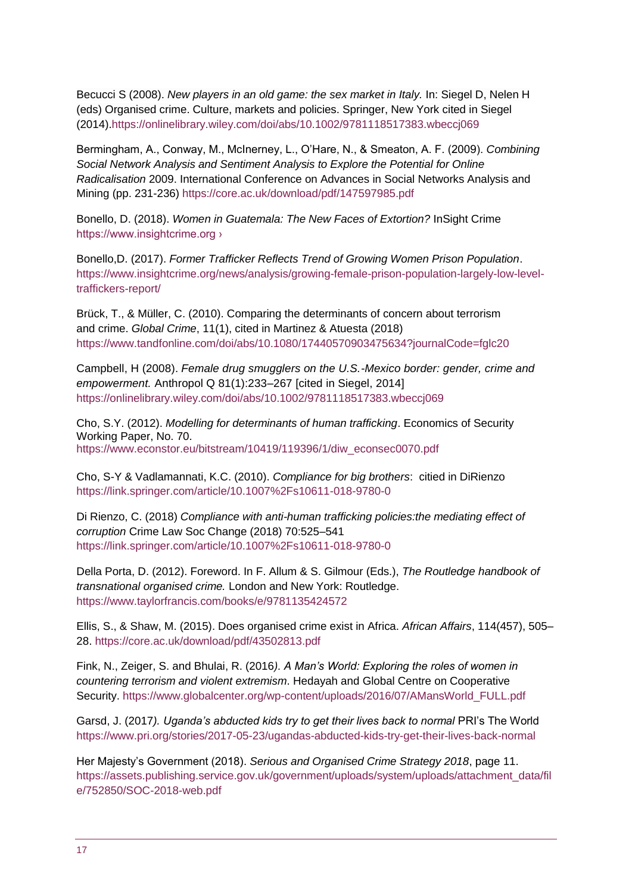Becucci S (2008). *New players in an old game: the sex market in Italy.* In: Siegel D, Nelen H (eds) Organised crime. Culture, markets and policies. Springer, New York cited in Siegel (2014)[.https://onlinelibrary.wiley.com/doi/abs/10.1002/9781118517383.wbeccj069](https://onlinelibrary.wiley.com/doi/abs/10.1002/9781118517383.wbeccj069)

Bermingham, A., Conway, M., McInerney, L., O'Hare, N., & Smeaton, A. F. (2009). *Combining Social Network Analysis and Sentiment Analysis to Explore the Potential for Online Radicalisation* 2009. International Conference on Advances in Social Networks Analysis and Mining (pp. 231-236) <https://core.ac.uk/download/pdf/147597985.pdf>

Bonello, D. (2018). *[Women in Guatemala: The New Faces of Extortion?](https://instdevelopmentstudies-my.sharepoint.com/personal/susane_ids_ac_uk/Documents/561%20Gender%20and%20Serious%20Organised%20Crime/Bonello,%20D.%20(2018).%20Women%20in%20Guatemala:%20The%20New%20Faces%20of%20Extortion?%20InSight%20Crime%20https://www.insightcrime.org%20› )* InSight Crime [https://www.insightcrime.org ›](https://instdevelopmentstudies-my.sharepoint.com/personal/susane_ids_ac_uk/Documents/561%20Gender%20and%20Serious%20Organised%20Crime/Bonello,%20D.%20(2018).%20Women%20in%20Guatemala:%20The%20New%20Faces%20of%20Extortion?%20InSight%20Crime%20https://www.insightcrime.org%20› )

Bonello,D. (2017). *Former Trafficker Reflects Trend of Growing Women Prison Population*. [https://www.insightcrime.org/news/analysis/growing-female-prison-population-largely-low-level](https://www.insightcrime.org/news/analysis/growing-female-prison-population-largely-low-level-traffickers-report/)[traffickers-report/](https://www.insightcrime.org/news/analysis/growing-female-prison-population-largely-low-level-traffickers-report/)

Brück, T., & Müller, C. (2010). Comparing the determinants of concern about terrorism and crime. *Global Crime*, 11(1), cited in Martinez & Atuesta (2018) <https://www.tandfonline.com/doi/abs/10.1080/17440570903475634?journalCode=fglc20>

Campbell, H (2008). *Female drug smugglers on the U.S.-Mexico border: gender, crime and empowerment.* Anthropol Q 81(1):233–267 [cited in Siegel, 2014] <https://onlinelibrary.wiley.com/doi/abs/10.1002/9781118517383.wbeccj069>

Cho, S.Y. (2012). *Modelling for determinants of human trafficking*. Economics of Security Working Paper, No. 70. [https://www.econstor.eu/bitstream/10419/119396/1/diw\\_econsec0070.pdf](https://www.econstor.eu/bitstream/10419/119396/1/diw_econsec0070.pdf)

Cho, S-Y & Vadlamannati, K.C. (2010). *Compliance for big brothers*: citied in DiRienzo <https://link.springer.com/article/10.1007%2Fs10611-018-9780-0>

Di Rienzo, C. (2018) *Compliance with anti-human trafficking policies:the mediating effect of corruption* Crime Law Soc Change (2018) 70:525–541 <https://link.springer.com/article/10.1007%2Fs10611-018-9780-0>

Della Porta, D. (2012). Foreword. In F. Allum & S. Gilmour (Eds.), *The Routledge handbook of transnational organised crime.* London and New York: Routledge. <https://www.taylorfrancis.com/books/e/9781135424572>

Ellis, S., & Shaw, M. (2015). Does organised crime exist in Africa. *African Affairs*, 114(457), 505– 28. <https://core.ac.uk/download/pdf/43502813.pdf>

Fink, N., Zeiger, S. and Bhulai, R. (2016*). A Man's World: Exploring the roles of women in countering terrorism and violent extremism*. Hedayah and Global Centre on Cooperative Security. [https://www.globalcenter.org/wp-content/uploads/2016/07/AMansWorld\\_FULL.pdf](https://www.globalcenter.org/wp-content/uploads/2016/07/AMansWorld_FULL.pdf)

Garsd, J. (2017*). Uganda's abducted kids try to get their lives back to normal* PRI's The World <https://www.pri.org/stories/2017-05-23/ugandas-abducted-kids-try-get-their-lives-back-normal>

Her Majesty's Government (2018). *Serious and Organised Crime Strategy 2018*, page 11. [https://assets.publishing.service.gov.uk/government/uploads/system/uploads/attachment\\_data/fil](https://assets.publishing.service.gov.uk/government/uploads/system/uploads/attachment_data/file/752850/SOC-2018-web.pdf) [e/752850/SOC-2018-web.pdf](https://assets.publishing.service.gov.uk/government/uploads/system/uploads/attachment_data/file/752850/SOC-2018-web.pdf)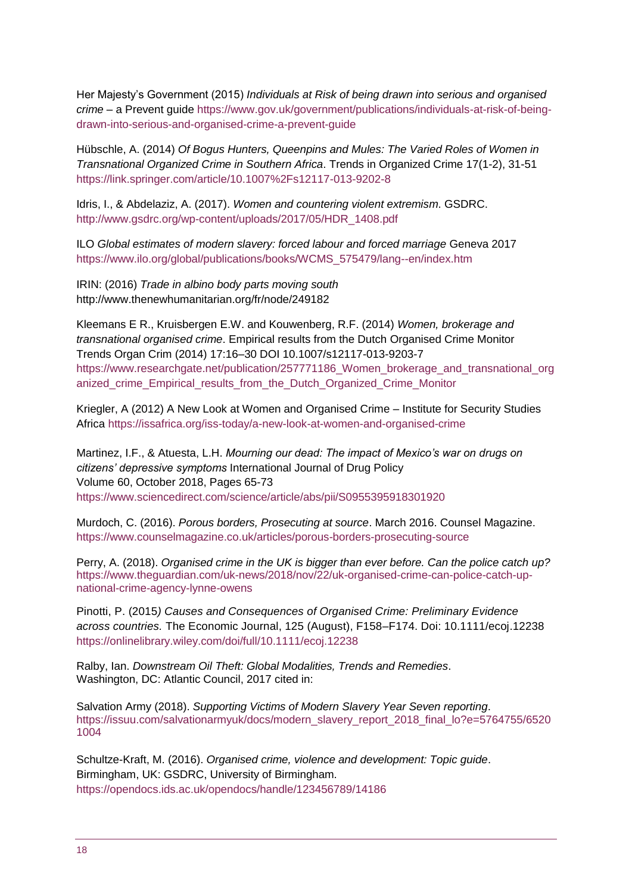Her Majesty's Government (2015) *Individuals at Risk of being drawn into serious and organised crime* – a Prevent guide [https://www.gov.uk/government/publications/individuals-at-risk-of-being](https://www.gov.uk/government/publications/individuals-at-risk-of-being-drawn-into-serious-and-organised-crime-a-prevent-guide)[drawn-into-serious-and-organised-crime-a-prevent-guide](https://www.gov.uk/government/publications/individuals-at-risk-of-being-drawn-into-serious-and-organised-crime-a-prevent-guide)

Hübschle, A. (2014) *Of Bogus Hunters, Queenpins and Mules: The Varied Roles of Women in Transnational Organized Crime in Southern Africa*. Trends in Organized Crime 17(1-2), 31-51 <https://link.springer.com/article/10.1007%2Fs12117-013-9202-8>

Idris, I., & Abdelaziz, A. (2017). *Women and countering violent extremism*. GSDRC. [http://www.gsdrc.org/wp-content/uploads/2017/05/HDR\\_1408.pdf](http://www.gsdrc.org/wp-content/uploads/2017/05/HDR_1408.pdf)

ILO *Global estimates of modern slavery: forced labour and forced marriage* Geneva 2017 [https://www.ilo.org/global/publications/books/WCMS\\_575479/lang--en/index.htm](https://www.ilo.org/global/publications/books/WCMS_575479/lang--en/index.htm)

IRIN: (2016) *Trade in albino body parts moving south* [http://www.thenewhumanitarian.org/fr/node/249182](http://www.irinnews.org/fr/node/249182)

Kleemans E R., Kruisbergen E.W. and Kouwenberg, R.F. (2014) *Women, brokerage and transnational organised crime*. Empirical results from the Dutch Organised Crime Monitor Trends Organ Crim (2014) 17:16–30 DOI 10.1007/s12117-013-9203-7 [https://www.researchgate.net/publication/257771186\\_Women\\_brokerage\\_and\\_transnational\\_org](https://www.researchgate.net/publication/257771186_Women_brokerage_and_transnational_organized_crime_Empirical_results_from_the_Dutch_Organized_Crime_Monitor) anized crime Empirical results from the Dutch Organized Crime Monitor

Kriegler, A (2012) A New Look at Women and Organised Crime – Institute for Security Studies Africa<https://issafrica.org/iss-today/a-new-look-at-women-and-organised-crime>

Martinez, I.F., & Atuesta, L.H. *Mourning our dead: The impact of Mexico's war on drugs on citizens' depressive symptoms* [International Journal of Drug Policy](https://www.sciencedirect.com/science/journal/09553959) [Volume 60,](https://www.sciencedirect.com/science/journal/09553959/60/supp/C) October 2018, Pages 65-73 <https://www.sciencedirect.com/science/article/abs/pii/S0955395918301920>

Murdoch, C. (2016). *Porous borders, Prosecuting at source*. March 2016. Counsel Magazine. <https://www.counselmagazine.co.uk/articles/porous-borders-prosecuting-source>

Perry, A. (2018). *Organised crime in the UK is bigger than ever before. Can the police catch up?* [https://www.theguardian.com/uk-news/2018/nov/22/uk-organised-crime-can-police-catch-up](https://www.theguardian.com/uk-news/2018/nov/22/uk-organised-crime-can-police-catch-up-national-crime-agency-lynne-owens)[national-crime-agency-lynne-owens](https://www.theguardian.com/uk-news/2018/nov/22/uk-organised-crime-can-police-catch-up-national-crime-agency-lynne-owens)

Pinotti, P. (2015*) Causes and Consequences of Organised Crime: Preliminary Evidence across countries.* The Economic Journal, 125 (August), F158–F174. Doi: 10.1111/ecoj.12238 <https://onlinelibrary.wiley.com/doi/full/10.1111/ecoj.12238>

Ralby, Ian. *Downstream Oil Theft: Global Modalities, Trends and Remedies*. Washington, DC: Atlantic Council, 2017 cited in:

Salvation Army (2018). *Supporting Victims of Modern Slavery Year Seven reporting*. [https://issuu.com/salvationarmyuk/docs/modern\\_slavery\\_report\\_2018\\_final\\_lo?e=5764755/6520](https://issuu.com/salvationarmyuk/docs/modern_slavery_report_2018_final_lo?e=5764755/65201004) [1004](https://issuu.com/salvationarmyuk/docs/modern_slavery_report_2018_final_lo?e=5764755/65201004)

Schultze-Kraft, M. (2016). *Organised crime, violence and development: Topic guide*. Birmingham, UK: GSDRC, University of Birmingham. <https://opendocs.ids.ac.uk/opendocs/handle/123456789/14186>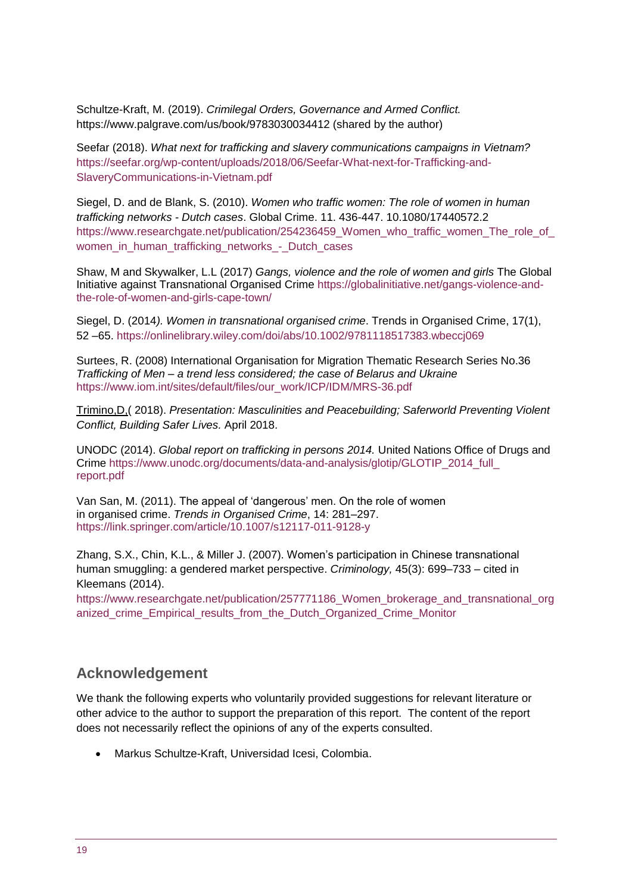Schultze-Kraft, M. (2019). *Crimilegal Orders, Governance and Armed Conflict.* <https://www.palgrave.com/us/book/9783030034412> (shared by the author)

Seefar (2018). *What next for trafficking and slavery communications campaigns in Vietnam?*  [https://seefar.org/wp-content/uploads/2018/06/Seefar-What-next-for-Trafficking-and-](https://seefar.org/wp-content/uploads/2018/06/Seefar-What-next-for-Trafficking-and-SlaveryCommunications-in-Vietnam.pdf)[SlaveryCommunications-in-Vietnam.pdf](https://seefar.org/wp-content/uploads/2018/06/Seefar-What-next-for-Trafficking-and-SlaveryCommunications-in-Vietnam.pdf)

Siegel, D. and de Blank, S. (2010). *Women who traffic women: The role of women in human trafficking networks - Dutch cases*. Global Crime. 11. 436-447. 10.1080/17440572.2 https://www.researchgate.net/publication/254236459 Women\_who\_traffic\_women\_The\_role\_of\_ women in human trafficking networks - Dutch cases

Shaw, M and Skywalker, L.L (2017) *Gangs, violence and the role of women and girls* The Global Initiative against Transnational Organised Crime [https://globalinitiative.net/gangs-violence-and](https://globalinitiative.net/gangs-violence-and-the-role-of-women-and-girls-cape-town/)[the-role-of-women-and-girls-cape-town/](https://globalinitiative.net/gangs-violence-and-the-role-of-women-and-girls-cape-town/)

Siegel, D. (2014*). Women in transnational organised crime*. Trends in Organised Crime, 17(1), 52 –65.<https://onlinelibrary.wiley.com/doi/abs/10.1002/9781118517383.wbeccj069>

Surtees, R. (2008) International Organisation for Migration Thematic Research Series No.36 *Trafficking of Men – a trend less considered; the case of Belarus and Ukraine* [https://www.iom.int/sites/default/files/our\\_work/ICP/IDM/MRS-36.pdf](https://www.iom.int/sites/default/files/our_work/ICP/IDM/MRS-36.pdf)

Trimino,D,( 2018). *Presentation: Masculinities and Peacebuilding; Saferworld Preventing Violent Conflict, Building Safer Lives.* April 2018.

UNODC (2014). *Global report on trafficking in persons 2014.* United Nations Office of Drugs and Crime [https://www.unodc.org/documents/data-and-analysis/glotip/GLOTIP\\_2014\\_full\\_](https://www.unodc.org/documents/data-and-analysis/glotip/GLOTIP_2014_full_) [report.pdf](https://www.unodc.org/documents/data-and-analysis/glotip/GLOTIP_2014_full_)

Van San, M. (2011). The appeal of 'dangerous' men. On the role of women in organised crime. *Trends in Organised Crime*, 14: 281–297. <https://link.springer.com/article/10.1007/s12117-011-9128-y>

Zhang, S.X., Chin, K.L., & Miller J. (2007). Women's participation in Chinese transnational human smuggling: a gendered market perspective. *Criminology,* 45(3): 699–733 – cited in Kleemans (2014).

https://www.researchgate.net/publication/257771186 Women\_brokerage\_and\_transnational\_org [anized\\_crime\\_Empirical\\_results\\_from\\_the\\_Dutch\\_Organized\\_Crime\\_Monitor](https://www.researchgate.net/publication/257771186_Women_brokerage_and_transnational_organized_crime_Empirical_results_from_the_Dutch_Organized_Crime_Monitor)

#### **Acknowledgement**

We thank the following experts who voluntarily provided suggestions for relevant literature or other advice to the author to support the preparation of this report. The content of the report does not necessarily reflect the opinions of any of the experts consulted.

Markus Schultze-Kraft, Universidad Icesi, Colombia.